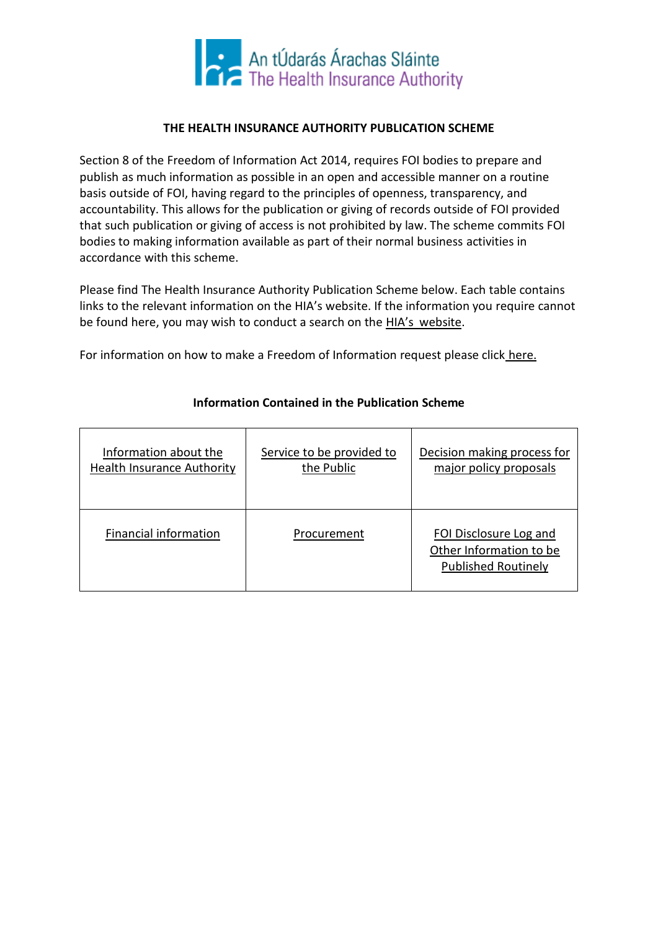

## **THE HEALTH INSURANCE AUTHORITY PUBLICATION SCHEME**

Section 8 of the Freedom of Information Act 2014, requires FOI bodies to prepare and publish as much information as possible in an open and accessible manner on a routine basis outside of FOI, having regard to the principles of openness, transparency, and accountability. This allows for the publication or giving of records outside of FOI provided that such publication or giving of access is not prohibited by law. The scheme commits FOI bodies to making information available as part of their normal business activities in accordance with this scheme.

Please find The Health Insurance Authority Publication Scheme below. Each table contains links to the relevant information on the HIA's website. If the information you require cannot be found here, you may wish to conduct a search on the HIA's website.

For information on how to make a Freedom of Information request please click here.

| Information about the             | Service to be provided to | Decision making process for                                                     |
|-----------------------------------|---------------------------|---------------------------------------------------------------------------------|
| <b>Health Insurance Authority</b> | the Public                | major policy proposals                                                          |
| <b>Financial information</b>      | Procurement               | FOI Disclosure Log and<br>Other Information to be<br><b>Published Routinely</b> |

## **Information Contained in the Publication Scheme**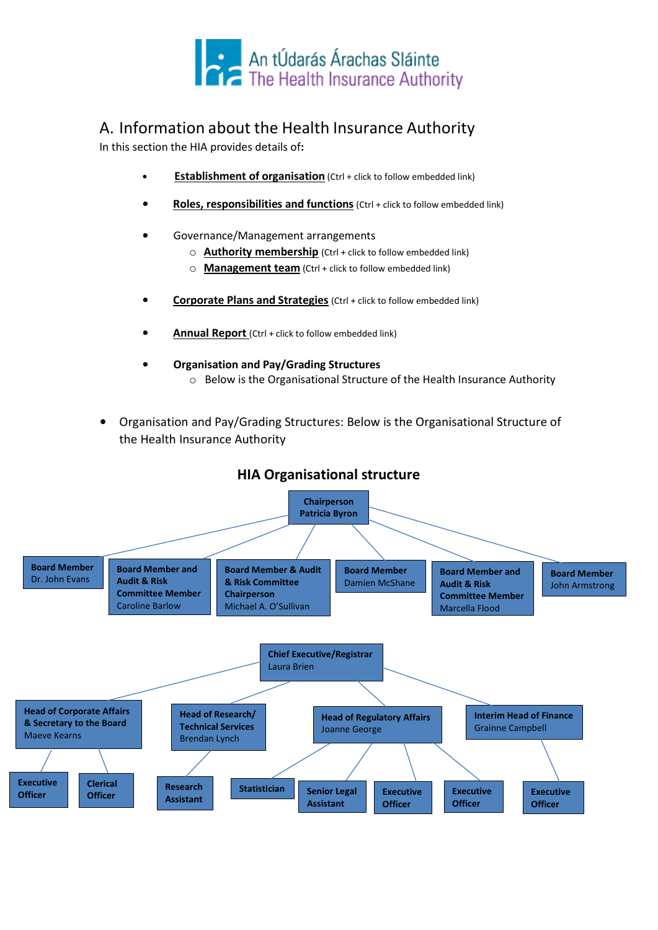

# A. Information about the Health Insurance Authority

In this section the HIA provides details of**:**

- **Establishment of organisation** (Ctrl + click to follow embedded link)
- **Roles, responsibilities and functions** (Ctrl + click to follow embedded link)
- Governance/Management arrangements
	- o **Authority membership** (Ctrl + click to follow embedded link)
	- o **Management team** (Ctrl + click to follow embedded link)
- **Corporate Plans and Strategies** (Ctrl + click to follow embedded link)
- **Annual Report** (Ctrl + click to follow embedded link)
- **Organisation and Pay/Grading Structures** o Below is the Organisational Structure of the Health Insurance Authority
- Organisation and Pay/Grading Structures: Below is the Organisational Structure of the Health Insurance Authority



# **HIA Organisational structure**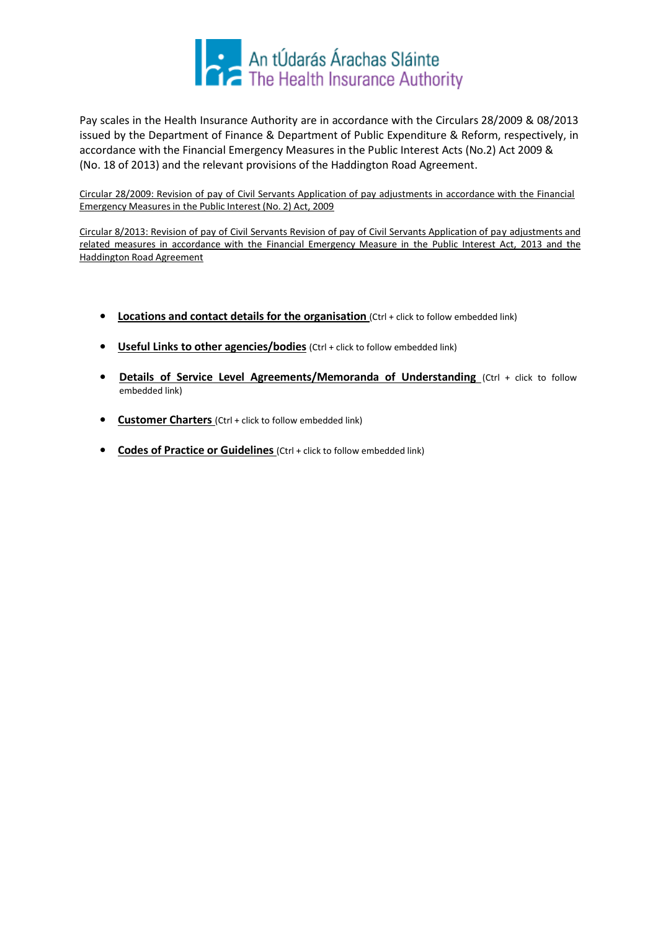

Pay scales in the Health Insurance Authority are in accordance with the Circulars 28/2009 & 08/2013 issued by the Department of Finance & Department of Public Expenditure & Reform, respectively, in accordance with the Financial Emergency Measures in the Public Interest Acts (No.2) Act 2009 & (No. 18 of 2013) and the relevant provisions of the Haddington Road Agreement.

Circular 28/2009: Revision of pay of Civil Servants Application of pay adjustments in accordance with the Financial Emergency Measures in the Public Interest (No. 2) Act, 2009

Circular 8/2013: Revision of pay of Civil Servants Revision of pay of Civil Servants Application of pay adjustments and related measures in accordance with the Financial Emergency Measure in the Public Interest Act, 2013 and the Haddington Road Agreement

- **•** Locations and contact details for the organisation (Ctrl + click to follow embedded link)
- **Useful Links to other agencies/bodies** (Ctrl + click to follow embedded link)
- **Details of Service Level Agreements/Memoranda of Understanding** (Ctrl + click to follow embedded link)
- **Customer Charters** (Ctrl + click to follow embedded link)
- **Codes of Practice or Guidelines** (Ctrl + click to follow embedded link)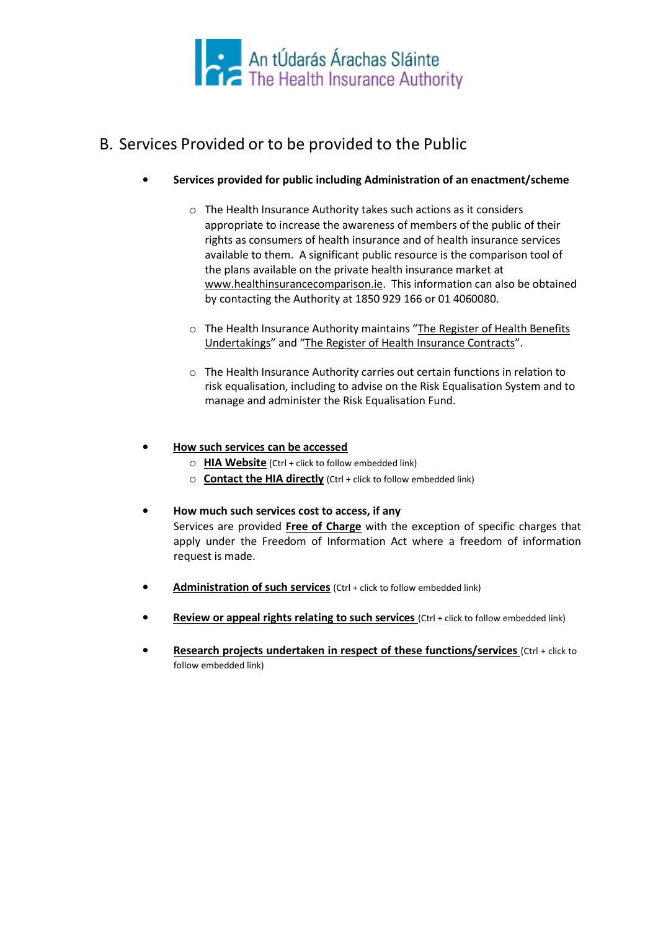

# B. Services Provided or to be provided to the Public

- **Services provided for public including Administration of an enactment/scheme**
	- o The Health Insurance Authority takes such actions as it considers appropriate to increase the awareness of members of the public of their rights as consumers of health insurance and of health insurance services available to them. A significant public resource is the comparison tool of the plans available on the private health insurance market at www.healthinsurancecomparison.ie. This information can also be obtained by contacting the Authority at 1850 929 166 or 01 4060080.
	- o The Health Insurance Authority maintains "The Register of Health Benefits Undertakings" and "The Register of Health Insurance Contracts".
	- o The Health Insurance Authority carries out certain functions in relation to risk equalisation, including to advise on the Risk Equalisation System and to manage and administer the Risk Equalisation Fund.
- **How such services can be accessed**
	- o **HIA Website** (Ctrl + click to follow embedded link)
	- o **Contact the HIA directly** (Ctrl + click to follow embedded link)

## • **How much such services cost to access, if any**

Services are provided **Free of Charge** with the exception of specific charges that apply under the Freedom of Information Act where a freedom of information request is made.

- **Administration of such services** (Ctrl + click to follow embedded link)
- **Review or appeal rights relating to such services** (Ctrl + click to follow embedded link)
- **Research projects undertaken in respect of these functions/services** (Ctrl + click to follow embedded link)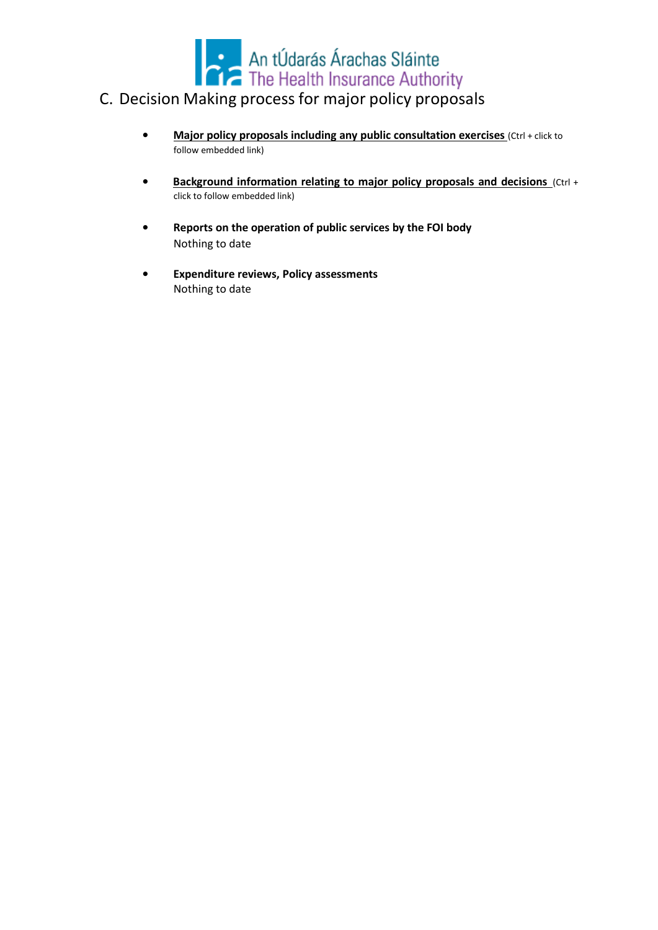

- C. Decision Making process for major policy proposals
	- **Major policy proposals including any public consultation exercises** (Ctrl + click to follow embedded link)
	- **Background information relating to major policy proposals and decisions** (Ctrl + click to follow embedded link)
	- **Reports on the operation of public services by the FOI body** Nothing to date
	- **Expenditure reviews, Policy assessments** Nothing to date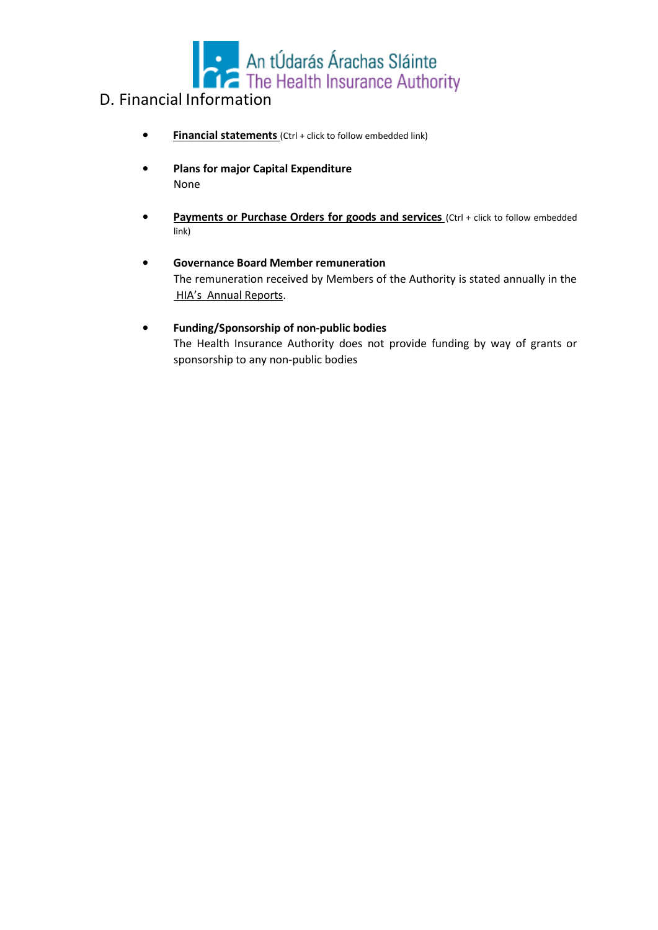

- **Financial statements** (Ctrl + click to follow embedded link)
- **Plans for major Capital Expenditure** None
- Payments or Purchase Orders for goods and services (Ctrl + click to follow embedded link)
- **Governance Board Member remuneration** The remuneration received by Members of the Authority is stated annually in the HIA's Annual Reports.
- **Funding/Sponsorship of non-public bodies** The Health Insurance Authority does not provide funding by way of grants or sponsorship to any non-public bodies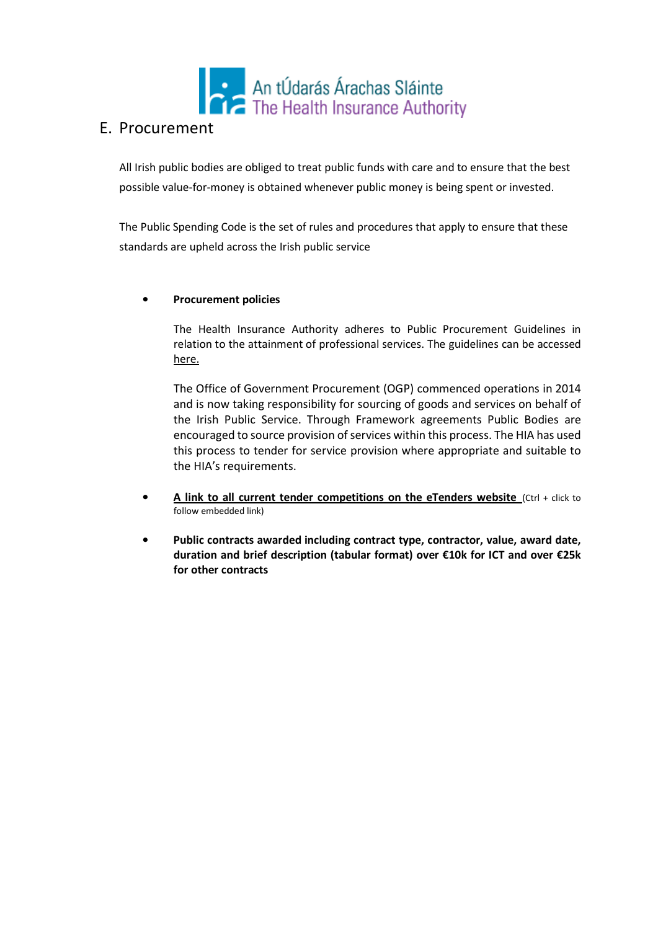

All Irish public bodies are obliged to treat public funds with care and to ensure that the best possible value-for-money is obtained whenever public money is being spent or invested.

The Public Spending Code is the set of rules and procedures that apply to ensure that these standards are upheld across the Irish public service

## • **Procurement policies**

The Health Insurance Authority adheres to Public Procurement Guidelines in relation to the attainment of professional services. The guidelines can be accessed here.

The Office of Government Procurement (OGP) commenced operations in 2014 and is now taking responsibility for sourcing of goods and services on behalf of the Irish Public Service. Through Framework agreements Public Bodies are encouraged to source provision of services within this process. The HIA has used this process to tender for service provision where appropriate and suitable to the HIA's requirements.

- **A link to all current tender competitions on the eTenders website** (Ctrl + click to follow embedded link)
- **Public contracts awarded including contract type, contractor, value, award date, duration and brief description (tabular format) over €10k for ICT and over €25k for other contracts**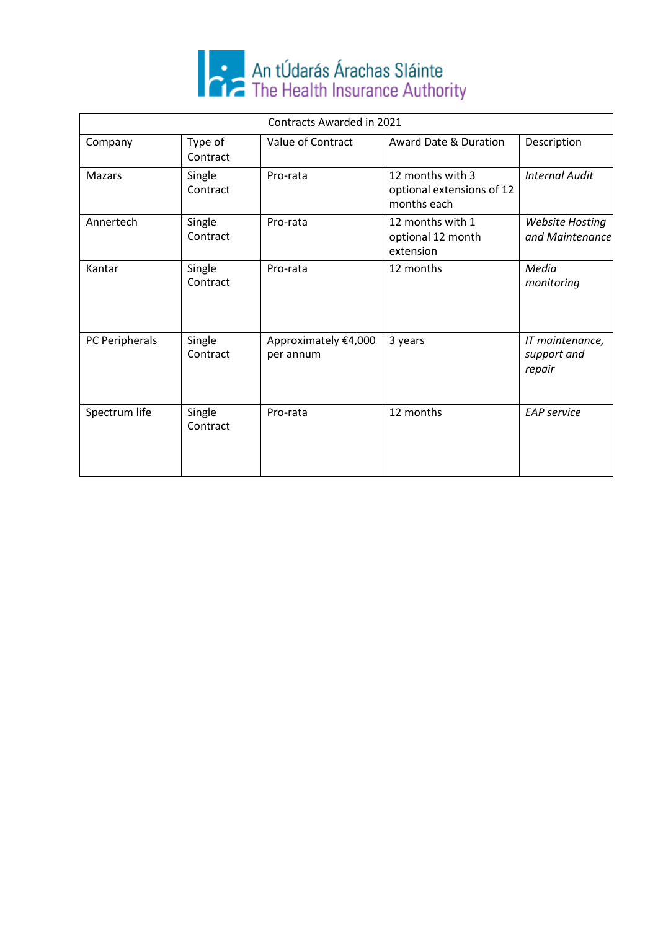

| Contracts Awarded in 2021 |                     |                                   |                                                              |                                           |  |  |  |
|---------------------------|---------------------|-----------------------------------|--------------------------------------------------------------|-------------------------------------------|--|--|--|
| Company                   | Type of<br>Contract | Value of Contract                 | Award Date & Duration                                        | Description                               |  |  |  |
| <b>Mazars</b>             | Single<br>Contract  | Pro-rata                          | 12 months with 3<br>optional extensions of 12<br>months each | <b>Internal Audit</b>                     |  |  |  |
| Annertech                 | Single<br>Contract  | Pro-rata                          | 12 months with 1<br>optional 12 month<br>extension           | <b>Website Hosting</b><br>and Maintenance |  |  |  |
| Kantar                    | Single<br>Contract  | Pro-rata                          | 12 months                                                    | Media<br>monitoring                       |  |  |  |
| PC Peripherals            | Single<br>Contract  | Approximately €4,000<br>per annum | 3 years                                                      | IT maintenance,<br>support and<br>repair  |  |  |  |
| Spectrum life             | Single<br>Contract  | Pro-rata                          | 12 months                                                    | <b>EAP</b> service                        |  |  |  |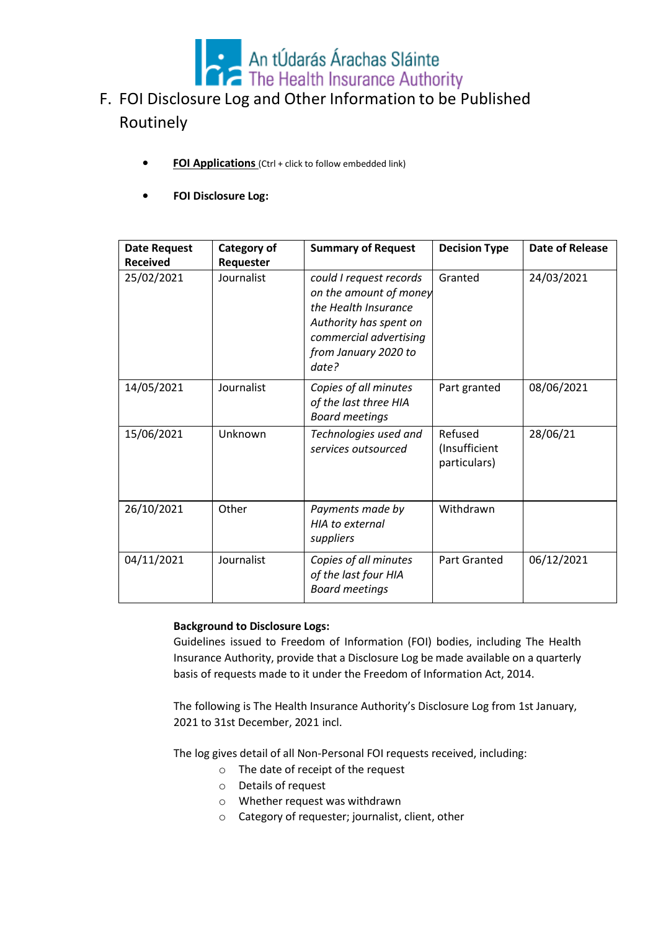

# F. FOI Disclosure Log and Other Information to be Published Routinely

- **FOI Applications** (Ctrl + click to follow embedded link)
- **FOI Disclosure Log:**

| <b>Date Request</b><br><b>Received</b> | Category of<br>Requester | <b>Summary of Request</b>                                                                                                                                      | <b>Decision Type</b>                     | <b>Date of Release</b> |
|----------------------------------------|--------------------------|----------------------------------------------------------------------------------------------------------------------------------------------------------------|------------------------------------------|------------------------|
| 25/02/2021                             | Journalist               | could I request records<br>on the amount of money<br>the Health Insurance<br>Authority has spent on<br>commercial advertising<br>from January 2020 to<br>date? | Granted                                  | 24/03/2021             |
| 14/05/2021                             | Journalist               | Copies of all minutes<br>of the last three HIA<br><b>Board meetings</b>                                                                                        | Part granted                             | 08/06/2021             |
| 15/06/2021                             | Unknown                  | Technologies used and<br>services outsourced                                                                                                                   | Refused<br>(Insufficient<br>particulars) | 28/06/21               |
| 26/10/2021                             | Other                    | Payments made by<br><b>HIA</b> to external<br>suppliers                                                                                                        | Withdrawn                                |                        |
| 04/11/2021                             | Journalist               | Copies of all minutes<br>of the last four HIA<br><b>Board meetings</b>                                                                                         | <b>Part Granted</b>                      | 06/12/2021             |

## **Background to Disclosure Logs:**

Guidelines issued to Freedom of Information (FOI) bodies, including The Health Insurance Authority, provide that a Disclosure Log be made available on a quarterly basis of requests made to it under the Freedom of Information Act, 2014.

The following is The Health Insurance Authority's Disclosure Log from 1st January, 2021 to 31st December, 2021 incl.

The log gives detail of all Non-Personal FOI requests received, including:

- o The date of receipt of the request
- o Details of request
- o Whether request was withdrawn
- o Category of requester; journalist, client, other